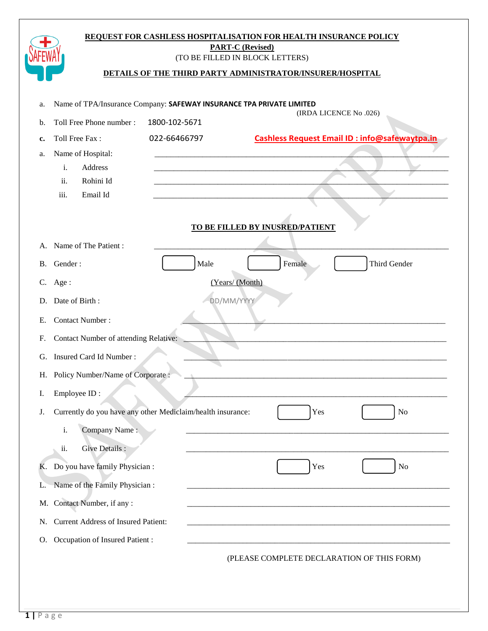|                                                                            |                                                             | <b>PART-C (Revised)</b><br>(TO BE FILLED IN BLOCK LETTERS) |  |  |
|----------------------------------------------------------------------------|-------------------------------------------------------------|------------------------------------------------------------|--|--|
| DETAILS OF THE THIRD PARTY ADMINISTRATOR/INSURER/HOSPITAL                  |                                                             |                                                            |  |  |
|                                                                            |                                                             |                                                            |  |  |
| Name of TPA/Insurance Company: SAFEWAY INSURANCE TPA PRIVATE LIMITED<br>a. |                                                             |                                                            |  |  |
| b.                                                                         | Toll Free Phone number :<br>1800-102-5671                   | (IRDA LICENCE No.026)                                      |  |  |
| c.                                                                         | 022-66466797<br>Toll Free Fax:                              | <b>Cashless Request Email ID: info@safewaytpa.in</b>       |  |  |
| a.                                                                         | Name of Hospital:                                           |                                                            |  |  |
|                                                                            | Address<br>i.<br>Rohini Id<br>ii.                           |                                                            |  |  |
|                                                                            | Email Id<br>iii.                                            |                                                            |  |  |
|                                                                            |                                                             |                                                            |  |  |
|                                                                            |                                                             | TO BE FILLED BY INUSRED/PATIENT                            |  |  |
| А.                                                                         | Name of The Patient:                                        |                                                            |  |  |
| B.                                                                         | Gender:                                                     | Male<br>Female<br>Third Gender                             |  |  |
|                                                                            | C. Age:                                                     | (Years/ (Month)                                            |  |  |
| D.                                                                         | Date of Birth:                                              | DD/MM/YYYY                                                 |  |  |
| Е.                                                                         | <b>Contact Number:</b>                                      |                                                            |  |  |
| F.                                                                         | <b>Contact Number of attending Relative:</b>                |                                                            |  |  |
| G.                                                                         | Insured Card Id Number:                                     |                                                            |  |  |
|                                                                            | H. Policy Number/Name of Corporate:                         |                                                            |  |  |
| I.                                                                         | Employee ID:                                                |                                                            |  |  |
| J.                                                                         | Currently do you have any other Mediclaim/health insurance: | Yes<br>N <sub>0</sub>                                      |  |  |
|                                                                            | $\mathbf i.$<br>Company Name:                               |                                                            |  |  |
|                                                                            | Give Details :<br>ii.                                       |                                                            |  |  |
|                                                                            | K. Do you have family Physician :                           | Yes<br>N <sub>o</sub>                                      |  |  |
| L.                                                                         | Name of the Family Physician :                              |                                                            |  |  |
| М.                                                                         | Contact Number, if any :                                    |                                                            |  |  |
| N.                                                                         | <b>Current Address of Insured Patient:</b>                  |                                                            |  |  |
| O.                                                                         | Occupation of Insured Patient :                             |                                                            |  |  |
|                                                                            |                                                             | (PLEASE COMPLETE DECLARATION OF THIS FORM)                 |  |  |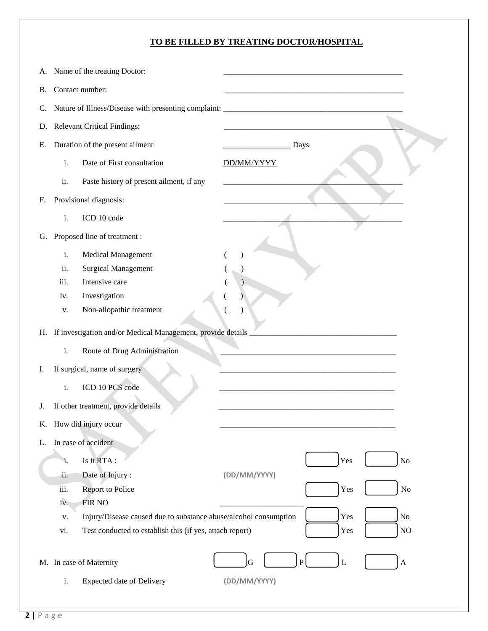## **TO BE FILLED BY TREATING DOCTOR/HOSPITAL**

| А. | Name of the treating Doctor:                                                      |                                                                  |  |  |
|----|-----------------------------------------------------------------------------------|------------------------------------------------------------------|--|--|
| В. | Contact number:                                                                   |                                                                  |  |  |
|    |                                                                                   |                                                                  |  |  |
| C. | Nature of Illness/Disease with presenting complaint: ____________________________ |                                                                  |  |  |
|    | D. Relevant Critical Findings:                                                    |                                                                  |  |  |
| Е. | Duration of the present ailment                                                   | Days                                                             |  |  |
|    | Date of First consultation<br>i.                                                  | DD/MM/YYYY                                                       |  |  |
|    | ii.<br>Paste history of present ailment, if any                                   |                                                                  |  |  |
| F. | Provisional diagnosis:                                                            |                                                                  |  |  |
|    | i.<br>ICD 10 code                                                                 |                                                                  |  |  |
| G. | Proposed line of treatment :                                                      |                                                                  |  |  |
|    | i.<br><b>Medical Management</b>                                                   |                                                                  |  |  |
|    | ii.<br><b>Surgical Management</b>                                                 |                                                                  |  |  |
|    | iii.<br>Intensive care                                                            |                                                                  |  |  |
|    | Investigation<br>iv.                                                              |                                                                  |  |  |
|    | Non-allopathic treatment<br>v.                                                    |                                                                  |  |  |
|    | H. If investigation and/or Medical Management, provide details                    |                                                                  |  |  |
|    | $\mathbf i.$<br>Route of Drug Administration                                      |                                                                  |  |  |
| Ι. | If surgical, name of surgery                                                      |                                                                  |  |  |
|    | ICD 10 PCS code<br>$\mathbf{i}$ .                                                 |                                                                  |  |  |
| J. | If other treatment, provide details                                               |                                                                  |  |  |
|    | K. How did injury occur                                                           |                                                                  |  |  |
| L. | In case of accident                                                               |                                                                  |  |  |
|    | Is it RTA:<br>i.                                                                  | Yes<br>No                                                        |  |  |
|    | ii.<br>Date of Injury:                                                            | (DD/MM/YYYY)                                                     |  |  |
|    | iii.<br><b>Report to Police</b>                                                   | $\rm No$<br>Yes                                                  |  |  |
|    | FIR NO<br>iv.                                                                     |                                                                  |  |  |
|    | Injury/Disease caused due to substance abuse/alcohol consumption<br>V.            | Yes<br>No                                                        |  |  |
|    | Test conducted to establish this (if yes, attach report)<br>vi.                   | $\rm NO$<br>Yes                                                  |  |  |
|    |                                                                                   |                                                                  |  |  |
|    | M. In case of Maternity                                                           | $\overline{L}$<br>$\mathbf{P}$<br>G<br>$\boldsymbol{\mathsf{A}}$ |  |  |
|    | $\mathbf{i}$ .<br><b>Expected date of Delivery</b>                                | (DD/MM/YYYY)                                                     |  |  |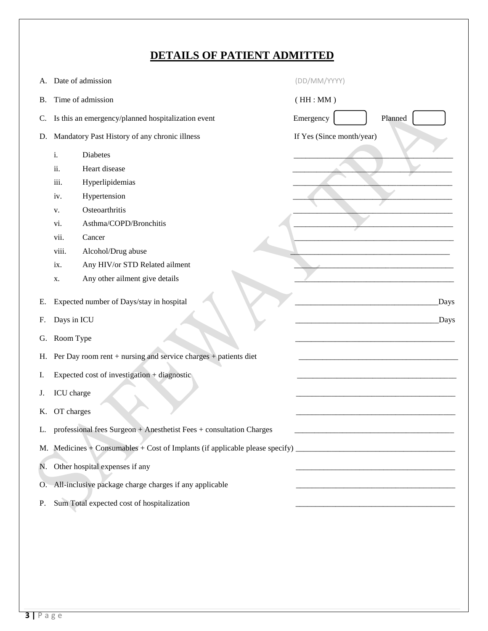# **DETAILS OF PATIENT ADMITTED**

| А. | Date of admission                                                      | (DD/MM/YYYY)              |  |
|----|------------------------------------------------------------------------|---------------------------|--|
| В. | Time of admission                                                      | (HH:MM)                   |  |
| C. | Is this an emergency/planned hospitalization event                     | Planned<br>Emergency      |  |
| D. | Mandatory Past History of any chronic illness                          | If Yes (Since month/year) |  |
|    | i.<br>Diabetes<br>ii.<br>Heart disease                                 |                           |  |
|    | iii.<br>Hyperlipidemias                                                |                           |  |
|    | Hypertension<br>iv.<br>Osteoarthritis                                  |                           |  |
|    | V.<br>Asthma/COPD/Bronchitis<br>vi.                                    |                           |  |
|    | vii.<br>Cancer                                                         |                           |  |
|    | viii.<br>Alcohol/Drug abuse                                            |                           |  |
|    | Any HIV/or STD Related ailment<br>ix.                                  |                           |  |
|    | Any other ailment give details<br>X.                                   |                           |  |
| Е. | Expected number of Days/stay in hospital<br>Days                       |                           |  |
| F. | Days in ICU<br>Days                                                    |                           |  |
| G. | Room Type                                                              |                           |  |
| Н. | Per Day room rent + nursing and service charges + patients diet        |                           |  |
| Ι. | Expected cost of investigation + diagnostic                            |                           |  |
| J. | ICU charge                                                             |                           |  |
| К. | OT charges                                                             |                           |  |
|    | L. professional fees Surgeon + Anesthetist Fees + consultation Charges |                           |  |
|    |                                                                        |                           |  |
|    | N. Other hospital expenses if any                                      |                           |  |
|    | O. All-inclusive package charge charges if any applicable              |                           |  |
| P. | Sum Total expected cost of hospitalization                             |                           |  |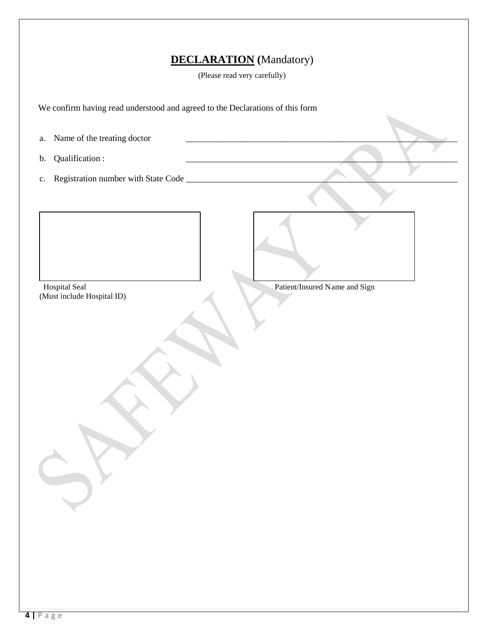# **DECLARATION (**Mandatory)

(Please read very carefully)

 We confirm having read understood and agreed to the Declarations of this form a. Name of the treating doctor b. Qualification : c. Registration number with State Code \_\_\_\_\_\_\_\_\_\_\_\_\_\_\_\_\_\_\_\_\_\_\_\_\_\_\_\_\_\_\_\_\_\_\_\_\_\_\_\_\_\_\_\_\_\_\_\_\_\_\_\_\_\_\_\_\_\_\_\_\_\_ Hospital Seal Patient/Insured Name and Sign (Must include Hospital ID)